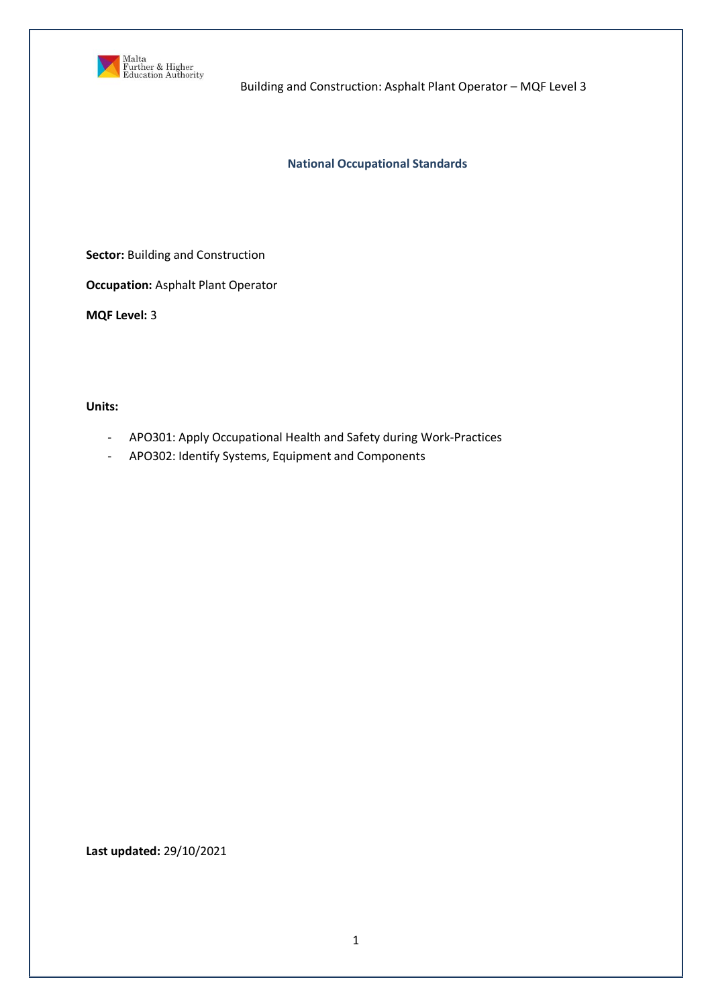

Building and Construction: Asphalt Plant Operator – MQF Level 3

### **National Occupational Standards**

**Sector:** Building and Construction

**Occupation:** Asphalt Plant Operator

**MQF Level:** 3

**Units:** 

- APO301: Apply Occupational Health and Safety during Work-Practices
- APO302: Identify Systems, Equipment and Components

**Last updated:** 29/10/2021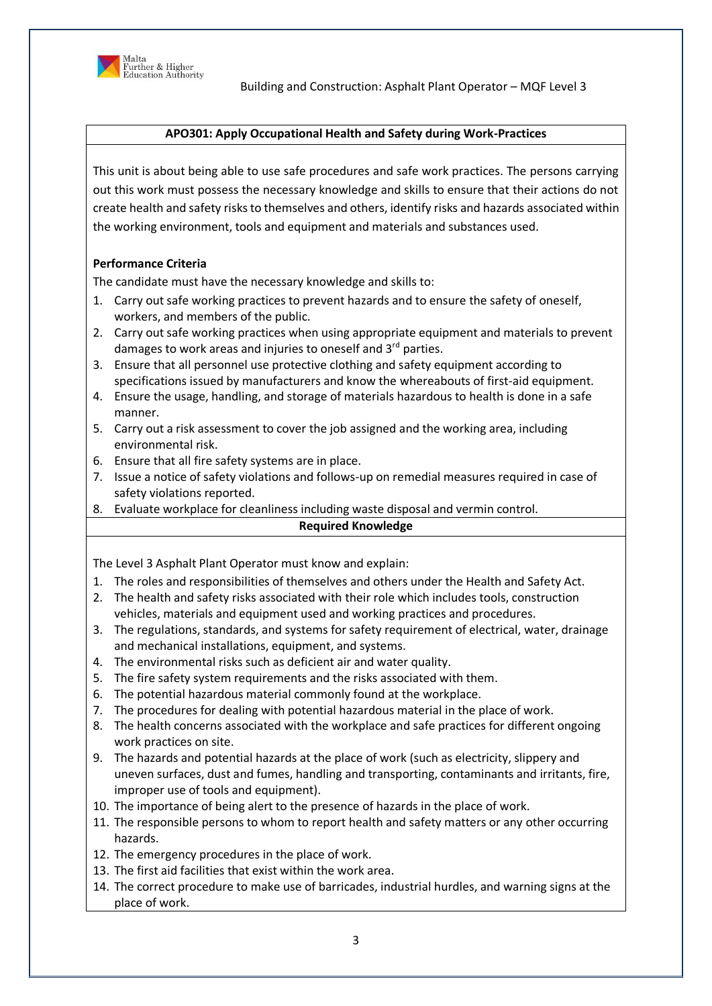

### **APO301: Apply Occupational Health and Safety during Work-Practices**

This unit is about being able to use safe procedures and safe work practices. The persons carrying out this work must possess the necessary knowledge and skills to ensure that their actions do not create health and safety risks to themselves and others, identify risks and hazards associated within the working environment, tools and equipment and materials and substances used.

# **Performance Criteria**

The candidate must have the necessary knowledge and skills to:

- 1. Carry out safe working practices to prevent hazards and to ensure the safety of oneself, workers, and members of the public.
- 2. Carry out safe working practices when using appropriate equipment and materials to prevent damages to work areas and injuries to oneself and  $3<sup>rd</sup>$  parties.
- 3. Ensure that all personnel use protective clothing and safety equipment according to specifications issued by manufacturers and know the whereabouts of first-aid equipment.
- 4. Ensure the usage, handling, and storage of materials hazardous to health is done in a safe manner.
- 5. Carry out a risk assessment to cover the job assigned and the working area, including environmental risk.
- 6. Ensure that all fire safety systems are in place.
- 7. Issue a notice of safety violations and follows-up on remedial measures required in case of safety violations reported.
- 8. Evaluate workplace for cleanliness including waste disposal and vermin control.

# **Required Knowledge**

The Level 3 Asphalt Plant Operator must know and explain:

- 1. The roles and responsibilities of themselves and others under the Health and Safety Act.
- 2. The health and safety risks associated with their role which includes tools, construction vehicles, materials and equipment used and working practices and procedures.
- 3. The regulations, standards, and systems for safety requirement of electrical, water, drainage and mechanical installations, equipment, and systems.
- 4. The environmental risks such as deficient air and water quality.
- 5. The fire safety system requirements and the risks associated with them.
- 6. The potential hazardous material commonly found at the workplace.
- 7. The procedures for dealing with potential hazardous material in the place of work.
- 8. The health concerns associated with the workplace and safe practices for different ongoing work practices on site.
- 9. The hazards and potential hazards at the place of work (such as electricity, slippery and uneven surfaces, dust and fumes, handling and transporting, contaminants and irritants, fire, improper use of tools and equipment).
- 10. The importance of being alert to the presence of hazards in the place of work.
- 11. The responsible persons to whom to report health and safety matters or any other occurring hazards.
- 12. The emergency procedures in the place of work.
- 13. The first aid facilities that exist within the work area.
- 14. The correct procedure to make use of barricades, industrial hurdles, and warning signs at the place of work.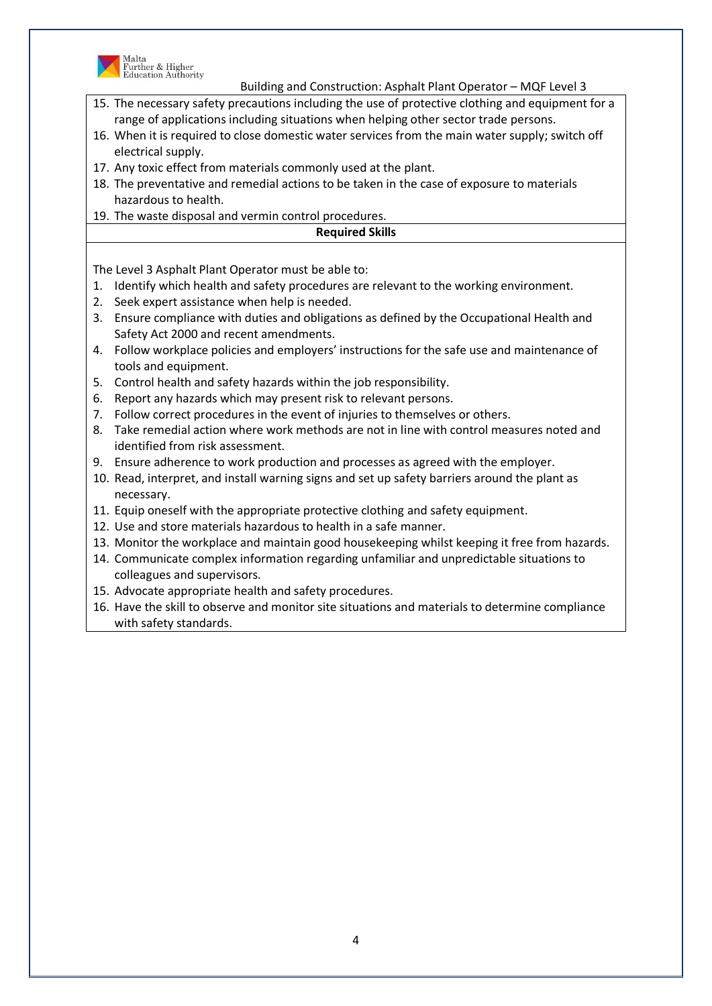

Malta<br>Further & Higher<br>Education Authority

Building and Construction: Asphalt Plant Operator – MQF Level 3

- 15. The necessary safety precautions including the use of protective clothing and equipment for a range of applications including situations when helping other sector trade persons.
- 16. When it is required to close domestic water services from the main water supply; switch off electrical supply.
- 17. Any toxic effect from materials commonly used at the plant.
- 18. The preventative and remedial actions to be taken in the case of exposure to materials hazardous to health.
- 19. The waste disposal and vermin control procedures.

#### **Required Skills**

The Level 3 Asphalt Plant Operator must be able to:

- 1. Identify which health and safety procedures are relevant to the working environment.
- 2. Seek expert assistance when help is needed.
- 3. Ensure compliance with duties and obligations as defined by the Occupational Health and Safety Act 2000 and recent amendments.
- 4. Follow workplace policies and employers' instructions for the safe use and maintenance of tools and equipment.
- 5. Control health and safety hazards within the job responsibility.
- 6. Report any hazards which may present risk to relevant persons.
- 7. Follow correct procedures in the event of injuries to themselves or others.
- 8. Take remedial action where work methods are not in line with control measures noted and identified from risk assessment.
- 9. Ensure adherence to work production and processes as agreed with the employer.
- 10. Read, interpret, and install warning signs and set up safety barriers around the plant as necessary.
- 11. Equip oneself with the appropriate protective clothing and safety equipment.
- 12. Use and store materials hazardous to health in a safe manner.
- 13. Monitor the workplace and maintain good housekeeping whilst keeping it free from hazards.
- 14. Communicate complex information regarding unfamiliar and unpredictable situations to colleagues and supervisors.
- 15. Advocate appropriate health and safety procedures.
- 16. Have the skill to observe and monitor site situations and materials to determine compliance with safety standards.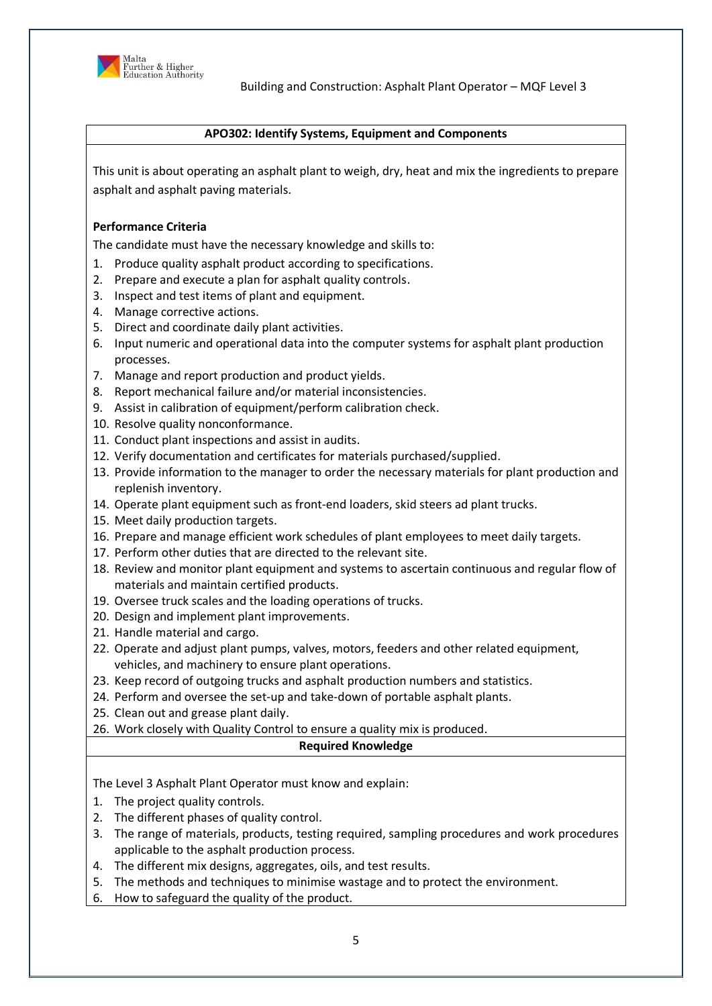

### **APO302: Identify Systems, Equipment and Components**

This unit is about operating an asphalt plant to weigh, dry, heat and mix the ingredients to prepare asphalt and asphalt paving materials.

### **Performance Criteria**

The candidate must have the necessary knowledge and skills to:

- 1. Produce quality asphalt product according to specifications.
- 2. Prepare and execute a plan for asphalt quality controls.
- 3. Inspect and test items of plant and equipment.
- 4. Manage corrective actions.
- 5. Direct and coordinate daily plant activities.
- 6. Input numeric and operational data into the computer systems for asphalt plant production processes.
- 7. Manage and report production and product yields.
- 8. Report mechanical failure and/or material inconsistencies.
- 9. Assist in calibration of equipment/perform calibration check.
- 10. Resolve quality nonconformance.
- 11. Conduct plant inspections and assist in audits.
- 12. Verify documentation and certificates for materials purchased/supplied.
- 13. Provide information to the manager to order the necessary materials for plant production and replenish inventory.
- 14. Operate plant equipment such as front-end loaders, skid steers ad plant trucks.
- 15. Meet daily production targets.
- 16. Prepare and manage efficient work schedules of plant employees to meet daily targets.
- 17. Perform other duties that are directed to the relevant site.
- 18. Review and monitor plant equipment and systems to ascertain continuous and regular flow of materials and maintain certified products.
- 19. Oversee truck scales and the loading operations of trucks.
- 20. Design and implement plant improvements.
- 21. Handle material and cargo.
- 22. Operate and adjust plant pumps, valves, motors, feeders and other related equipment, vehicles, and machinery to ensure plant operations.
- 23. Keep record of outgoing trucks and asphalt production numbers and statistics.
- 24. Perform and oversee the set-up and take-down of portable asphalt plants.
- 25. Clean out and grease plant daily.
- 26. Work closely with Quality Control to ensure a quality mix is produced.

# **Required Knowledge**

The Level 3 Asphalt Plant Operator must know and explain:

- 1. The project quality controls.
- 2. The different phases of quality control.
- 3. The range of materials, products, testing required, sampling procedures and work procedures applicable to the asphalt production process.
- 4. The different mix designs, aggregates, oils, and test results.
- 5. The methods and techniques to minimise wastage and to protect the environment.
- 6. How to safeguard the quality of the product.